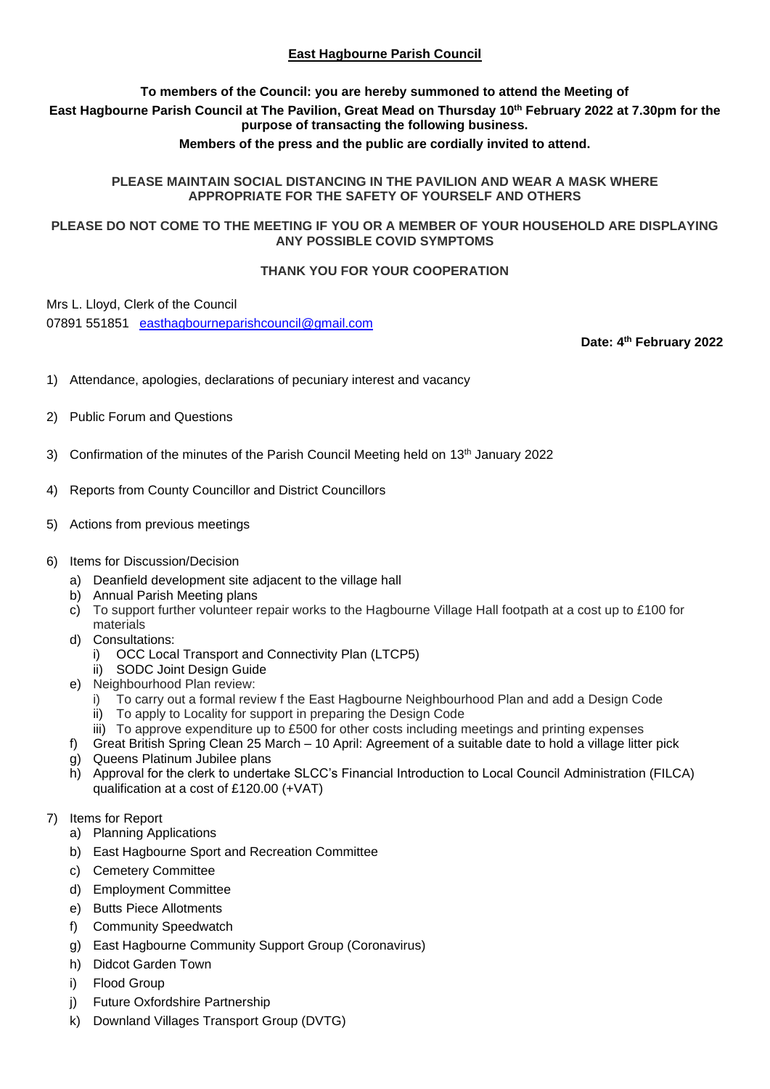# **East Hagbourne Parish Council**

## **To members of the Council: you are hereby summoned to attend the Meeting of East Hagbourne Parish Council at The Pavilion, Great Mead on Thursday 10 th February 2022 at 7.30pm for the purpose of transacting the following business.**

## **Members of the press and the public are cordially invited to attend.**

#### **PLEASE MAINTAIN SOCIAL DISTANCING IN THE PAVILION AND WEAR A MASK WHERE APPROPRIATE FOR THE SAFETY OF YOURSELF AND OTHERS**

## **PLEASE DO NOT COME TO THE MEETING IF YOU OR A MEMBER OF YOUR HOUSEHOLD ARE DISPLAYING ANY POSSIBLE COVID SYMPTOMS**

#### **THANK YOU FOR YOUR COOPERATION**

Mrs L. Lloyd, Clerk of the Council

07891 551851 [easthagbourneparishcouncil@gmail.com](mailto:easthagbourneparishcouncil@gmail.com)

**Date: 4 th February 2022**

- 1) Attendance, apologies, declarations of pecuniary interest and vacancy
- 2) Public Forum and Questions
- 3) Confirmation of the minutes of the Parish Council Meeting held on 13th January 2022
- 4) Reports from County Councillor and District Councillors
- 5) Actions from previous meetings

#### 6) Items for Discussion/Decision

- a) Deanfield development site adjacent to the village hall
- b) Annual Parish Meeting plans
- c) To support further volunteer repair works to the Hagbourne Village Hall footpath at a cost up to £100 for materials
- d) Consultations:
	- i) OCC Local Transport and Connectivity Plan (LTCP5)
	- ii) SODC Joint Design Guide
- e) Neighbourhood Plan review:
	- i) To carry out a formal review f the East Hagbourne Neighbourhood Plan and add a Design Code
	- ii) To apply to Locality for support in preparing the Design Code
	- iii) To approve expenditure up to £500 for other costs including meetings and printing expenses
- f) Great British Spring Clean 25 March 10 April: Agreement of a suitable date to hold a village litter pick
- g) Queens Platinum Jubilee plans
- h) Approval for the clerk to undertake SLCC's Financial Introduction to Local Council Administration (FILCA) qualification at a cost of £120.00 (+VAT)

# 7) Items for Report

- a) Planning Applications
- b) East Hagbourne Sport and Recreation Committee
- c) Cemetery Committee
- d) Employment Committee
- e) Butts Piece Allotments
- f) Community Speedwatch
- g) East Hagbourne Community Support Group (Coronavirus)
- h) Didcot Garden Town
- i) Flood Group
- j) Future Oxfordshire Partnership
- k) Downland Villages Transport Group (DVTG)